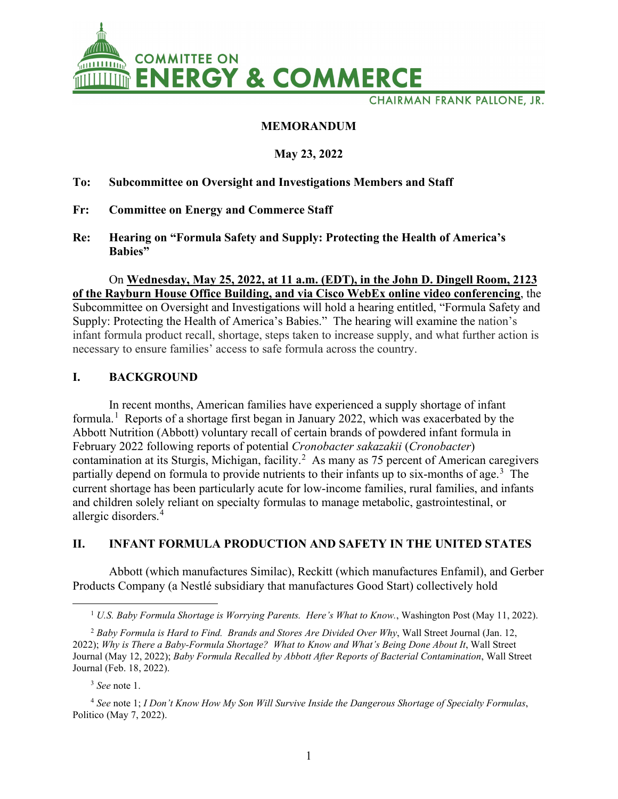

**CHAIRMAN FRANK PALLONE, JR.** 

### **MEMORANDUM**

### **May 23, 2022**

#### **To: Subcommittee on Oversight and Investigations Members and Staff**

- **Fr: Committee on Energy and Commerce Staff**
- **Re: Hearing on "Formula Safety and Supply: Protecting the Health of America's Babies"**

On **Wednesday, May 25, 2022, at 11 a.m. (EDT), in the John D. Dingell Room, 2123 of the Rayburn House Office Building, and via Cisco WebEx online video conferencing**, the Subcommittee on Oversight and Investigations will hold a hearing entitled, "Formula Safety and Supply: Protecting the Health of America's Babies." The hearing will examine the nation's infant formula product recall, shortage, steps taken to increase supply, and what further action is necessary to ensure families' access to safe formula across the country.

### **I. BACKGROUND**

In recent months, American families have experienced a supply shortage of infant formula.<sup>[1](#page-0-0)</sup> Reports of a shortage first began in January 2022, which was exacerbated by the Abbott Nutrition (Abbott) voluntary recall of certain brands of powdered infant formula in February 2022 following reports of potential *Cronobacter sakazakii* (*Cronobacter*) contamination at its Sturgis, Michigan, facility. [2](#page-0-1) As many as 75 percent of American caregivers partially depend on formula to provide nutrients to their infants up to six-months of age.<sup>[3](#page-0-2)</sup> The current shortage has been particularly acute for low-income families, rural families, and infants and children solely reliant on specialty formulas to manage metabolic, gastrointestinal, or allergic disorders.[4](#page-0-3)

## **II. INFANT FORMULA PRODUCTION AND SAFETY IN THE UNITED STATES**

Abbott (which manufactures Similac), Reckitt (which manufactures Enfamil), and Gerber Products Company (a Nestlé subsidiary that manufactures Good Start) collectively hold

<sup>3</sup> *See* note 1.

<sup>1</sup> *U.S. Baby Formula Shortage is Worrying Parents. Here's What to Know.*, Washington Post (May 11, 2022).

<span id="page-0-1"></span><span id="page-0-0"></span><sup>2</sup> *Baby Formula is Hard to Find. Brands and Stores Are Divided Over Why*, Wall Street Journal (Jan. 12, 2022); *Why is There a Baby-Formula Shortage? What to Know and What's Being Done About It*, Wall Street Journal (May 12, 2022); *Baby Formula Recalled by Abbott After Reports of Bacterial Contamination*, Wall Street Journal (Feb. 18, 2022).

<span id="page-0-3"></span><span id="page-0-2"></span><sup>4</sup> *See* note 1; *I Don't Know How My Son Will Survive Inside the Dangerous Shortage of Specialty Formulas*, Politico (May 7, 2022).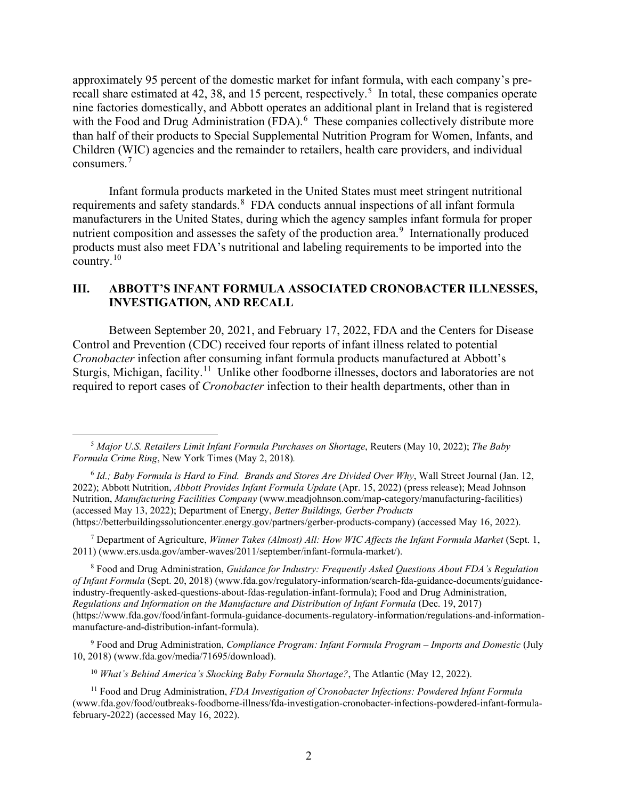approximately 95 percent of the domestic market for infant formula, with each company's pre-recall share estimated at 42, 38, and 1[5](#page-1-0) percent, respectively.<sup>5</sup> In total, these companies operate nine factories domestically, and Abbott operates an additional plant in Ireland that is registered with the Food and Drug Administration (FDA).<sup>[6](#page-1-1)</sup> These companies collectively distribute more than half of their products to Special Supplemental Nutrition Program for Women, Infants, and Children (WIC) agencies and the remainder to retailers, health care providers, and individual consumers. [7](#page-1-2)

Infant formula products marketed in the United States must meet stringent nutritional requirements and safety standards. <sup>[8](#page-1-3)</sup> FDA conducts annual inspections of all infant formula manufacturers in the United States, during which the agency samples infant formula for proper nutrient composition and assesses the safety of the production area.<sup>[9](#page-1-4)</sup> Internationally produced products must also meet FDA's nutritional and labeling requirements to be imported into the country. [10](#page-1-5)

# **III. ABBOTT'S INFANT FORMULA ASSOCIATED CRONOBACTER ILLNESSES, INVESTIGATION, AND RECALL**

Between September 20, 2021, and February 17, 2022, FDA and the Centers for Disease Control and Prevention (CDC) received four reports of infant illness related to potential *Cronobacter* infection after consuming infant formula products manufactured at Abbott's Sturgis, Michigan, facility.<sup>11</sup> Unlike other foodborne illnesses, doctors and laboratories are not required to report cases of *Cronobacter* infection to their health departments, other than in

<span id="page-1-2"></span><sup>7</sup> Department of Agriculture, *Winner Takes (Almost) All: How WIC Affects the Infant Formula Market* (Sept. 1, 2011) (www.ers.usda.gov/amber-waves/2011/september/infant-formula-market/).

<span id="page-1-3"></span><sup>8</sup> Food and Drug Administration, *Guidance for Industry: Frequently Asked Questions About FDA's Regulation of Infant Formula* (Sept. 20, 2018) (www.fda.gov/regulatory-information/search-fda-guidance-documents/guidanceindustry-frequently-asked-questions-about-fdas-regulation-infant-formula); Food and Drug Administration, *Regulations and Information on the Manufacture and Distribution of Infant Formula* (Dec. 19, 2017) (https://www.fda.gov/food/infant-formula-guidance-documents-regulatory-information/regulations-and-informationmanufacture-and-distribution-infant-formula).

<span id="page-1-4"></span><sup>9</sup> Food and Drug Administration, *Compliance Program: Infant Formula Program – Imports and Domestic* (July 10, 2018) (www.fda.gov/media/71695/download).

<sup>10</sup> *What's Behind America's Shocking Baby Formula Shortage?*, The Atlantic (May 12, 2022).

<span id="page-1-0"></span><sup>5</sup> *Major U.S. Retailers Limit Infant Formula Purchases on Shortage*, Reuters (May 10, 2022); *The Baby Formula Crime Ring*, New York Times (May 2, 2018)*.*

<span id="page-1-1"></span><sup>6</sup> *Id.; Baby Formula is Hard to Find. Brands and Stores Are Divided Over Why*, Wall Street Journal (Jan. 12, 2022); Abbott Nutrition, *Abbott Provides Infant Formula Update* (Apr. 15, 2022) (press release); Mead Johnson Nutrition, *Manufacturing Facilities Company* (www.meadjohnson.com/map-category/manufacturing-facilities) (accessed May 13, 2022); Department of Energy, *Better Buildings, Gerber Products*  (https://betterbuildingssolutioncenter.energy.gov/partners/gerber-products-company) (accessed May 16, 2022).

<span id="page-1-6"></span><span id="page-1-5"></span><sup>11</sup> Food and Drug Administration, *FDA Investigation of Cronobacter Infections: Powdered Infant Formula* (www.fda.gov/food/outbreaks-foodborne-illness/fda-investigation-cronobacter-infections-powdered-infant-formulafebruary-2022) (accessed May 16, 2022).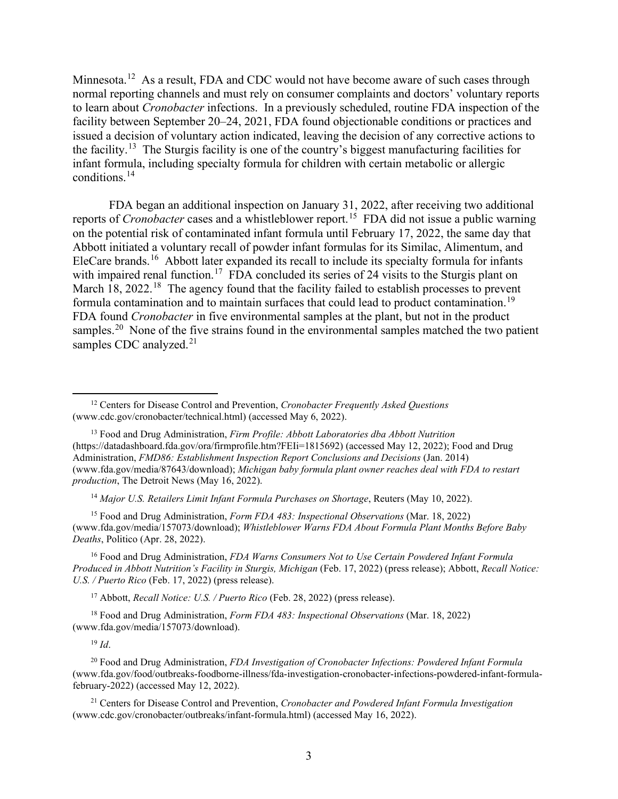Minnesota.<sup>[12](#page-2-0)</sup> As a result, FDA and CDC would not have become aware of such cases through normal reporting channels and must rely on consumer complaints and doctors' voluntary reports to learn about *Cronobacter* infections. In a previously scheduled, routine FDA inspection of the facility between September 20–24, 2021, FDA found objectionable conditions or practices and issued a decision of voluntary action indicated, leaving the decision of any corrective actions to the facility.[13](#page-2-1) The Sturgis facility is one of the country's biggest manufacturing facilities for infant formula, including specialty formula for children with certain metabolic or allergic conditions.[14](#page-2-2) 

FDA began an additional inspection on January 31, 2022, after receiving two additional reports of *Cronobacter* cases and a whistleblower report.[15](#page-2-3) FDA did not issue a public warning on the potential risk of contaminated infant formula until February 17, 2022, the same day that Abbott initiated a voluntary recall of powder infant formulas for its Similac, Alimentum, and EleCare brands.<sup>[16](#page-2-4)</sup> Abbott later expanded its recall to include its specialty formula for infants with impaired renal function.<sup>17</sup> FDA concluded its series of 24 visits to the Sturgis plant on March 18, 2022.<sup>18</sup> The agency found that the facility failed to establish processes to prevent formula contamination and to maintain surfaces that could lead to product contamination.<sup>[19](#page-2-7)</sup> FDA found *Cronobacter* in five environmental samples at the plant, but not in the product samples.<sup>[20](#page-2-8)</sup> None of the five strains found in the environmental samples matched the two patient samples CDC analyzed. $21$ 

<sup>14</sup> *Major U.S. Retailers Limit Infant Formula Purchases on Shortage*, Reuters (May 10, 2022).

<span id="page-2-3"></span><span id="page-2-2"></span><sup>15</sup> Food and Drug Administration, *Form FDA 483: Inspectional Observations* (Mar. 18, 2022) (www.fda.gov/media/157073/download); *Whistleblower Warns FDA About Formula Plant Months Before Baby Deaths*, Politico (Apr. 28, 2022).

<span id="page-2-4"></span><sup>16</sup> Food and Drug Administration, *FDA Warns Consumers Not to Use Certain Powdered Infant Formula Produced in Abbott Nutrition's Facility in Sturgis, Michigan* (Feb. 17, 2022) (press release); Abbott, *Recall Notice: U.S. / Puerto Rico* (Feb. 17, 2022) (press release).

<sup>17</sup> Abbott, *Recall Notice: U.S. / Puerto Rico* (Feb. 28, 2022) (press release).

<span id="page-2-6"></span><span id="page-2-5"></span><sup>18</sup> Food and Drug Administration, *Form FDA 483: Inspectional Observations* (Mar. 18, 2022) (www.fda.gov/media/157073/download).

<sup>19</sup> *Id*.

<span id="page-2-8"></span><span id="page-2-7"></span><sup>20</sup> Food and Drug Administration, *FDA Investigation of Cronobacter Infections: Powdered Infant Formula* (www.fda.gov/food/outbreaks-foodborne-illness/fda-investigation-cronobacter-infections-powdered-infant-formulafebruary-2022) (accessed May 12, 2022).

<span id="page-2-9"></span><sup>21</sup> Centers for Disease Control and Prevention, *Cronobacter and Powdered Infant Formula Investigation*  (www.cdc.gov/cronobacter/outbreaks/infant-formula.html) (accessed May 16, 2022).

<span id="page-2-0"></span><sup>12</sup> Centers for Disease Control and Prevention, *Cronobacter Frequently Asked Questions* (www.cdc.gov/cronobacter/technical.html) (accessed May 6, 2022).

<span id="page-2-1"></span><sup>13</sup> Food and Drug Administration, *Firm Profile: Abbott Laboratories dba Abbott Nutrition* (https://datadashboard.fda.gov/ora/firmprofile.htm?FEIi=1815692) (accessed May 12, 2022); Food and Drug Administration, *FMD86: Establishment Inspection Report Conclusions and Decisions* (Jan. 2014) (www.fda.gov/media/87643/download); *Michigan baby formula plant owner reaches deal with FDA to restart production*, The Detroit News (May 16, 2022).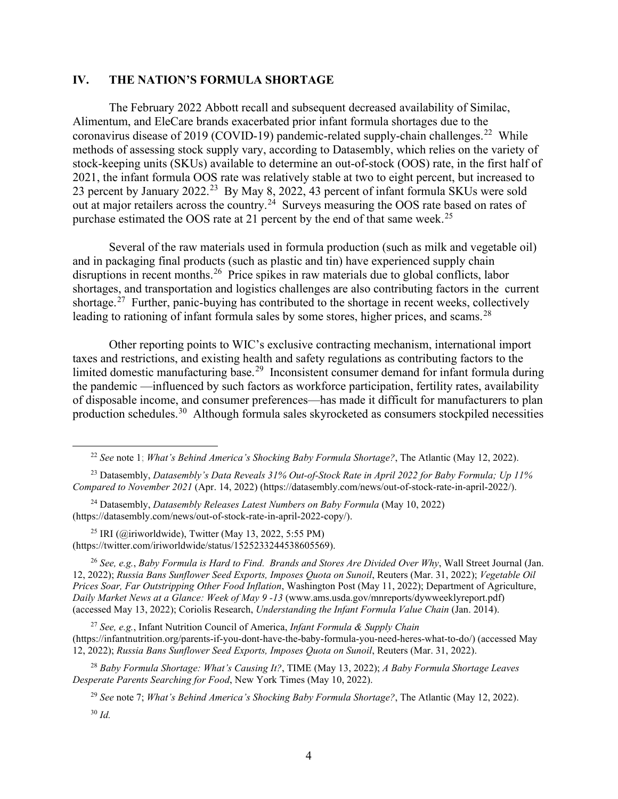## **IV. THE NATION'S FORMULA SHORTAGE**

The February 2022 Abbott recall and subsequent decreased availability of Similac, Alimentum, and EleCare brands exacerbated prior infant formula shortages due to the coronavirus disease of 2019 (COVID-19) pandemic-related supply-chain challenges.<sup>[22](#page-3-0)</sup> While methods of assessing stock supply vary, according to Datasembly, which relies on the variety of stock-keeping units (SKUs) available to determine an out-of-stock (OOS) rate, in the first half of 2021, the infant formula OOS rate was relatively stable at two to eight percent, but increased to [23](#page-3-1) percent by January 2022.<sup>23</sup> By May 8, 2022, 43 percent of infant formula SKUs were sold out at major retailers across the country.<sup>24</sup> Surveys measuring the OOS rate based on rates of purchase estimated the OOS rate at 21 percent by the end of that same week.<sup>25</sup>

Several of the raw materials used in formula production (such as milk and vegetable oil) and in packaging final products (such as plastic and tin) have experienced supply chain disruptions in recent months.<sup>26</sup> Price spikes in raw materials due to global conflicts, labor shortages, and transportation and logistics challenges are also contributing factors in the current shortage.<sup>[27](#page-3-5)</sup> Further, panic-buying has contributed to the shortage in recent weeks, collectively leading to rationing of infant formula sales by some stores, higher prices, and scams.<sup>[28](#page-3-6)</sup>

Other reporting points to WIC's exclusive contracting mechanism, international import taxes and restrictions, and existing health and safety regulations as contributing factors to the limited domestic manufacturing base.<sup>[29](#page-3-7)</sup> Inconsistent consumer demand for infant formula during the pandemic —influenced by such factors as workforce participation, fertility rates, availability of disposable income, and consumer preferences—has made it difficult for manufacturers to plan production schedules.[30](#page-3-8) Although formula sales skyrocketed as consumers stockpiled necessities

<span id="page-3-3"></span><sup>25</sup> IRI (@iriworldwide), Twitter (May 13, 2022, 5:55 PM) (https://twitter.com/iriworldwide/status/1525233244538605569).

<span id="page-3-4"></span><sup>26</sup> *See, e.g.*, *Baby Formula is Hard to Find. Brands and Stores Are Divided Over Why*, Wall Street Journal (Jan. 12, 2022); *Russia Bans Sunflower Seed Exports, Imposes Quota on Sunoil*, Reuters (Mar. 31, 2022); *Vegetable Oil Prices Soar, Far Outstripping Other Food Inflation*, Washington Post (May 11, 2022); Department of Agriculture, *Daily Market News at a Glance: Week of May 9 -13* (www.ams.usda.gov/mnreports/dywweeklyreport.pdf) (accessed May 13, 2022); Coriolis Research, *Understanding the Infant Formula Value Chain* (Jan. 2014).

<span id="page-3-5"></span><sup>27</sup> *See, e.g.*, Infant Nutrition Council of America, *Infant Formula & Supply Chain*  (https://infantnutrition.org/parents-if-you-dont-have-the-baby-formula-you-need-heres-what-to-do/) (accessed May 12, 2022); *Russia Bans Sunflower Seed Exports, Imposes Quota on Sunoil*, Reuters (Mar. 31, 2022).

<span id="page-3-8"></span><span id="page-3-7"></span><span id="page-3-6"></span><sup>28</sup> *Baby Formula Shortage: What's Causing It?*, TIME (May 13, 2022); *A Baby Formula Shortage Leaves Desperate Parents Searching for Food*, New York Times (May 10, 2022).

<sup>29</sup> *See* note 7; *What's Behind America's Shocking Baby Formula Shortage?*, The Atlantic (May 12, 2022).

<sup>22</sup> *See* note 1; *What's Behind America's Shocking Baby Formula Shortage?*, The Atlantic (May 12, 2022).

<span id="page-3-1"></span><span id="page-3-0"></span><sup>23</sup> Datasembly, *Datasembly's Data Reveals 31% Out-of-Stock Rate in April 2022 for Baby Formula; Up 11% Compared to November 2021* (Apr. 14, 2022) (https://datasembly.com/news/out-of-stock-rate-in-april-2022/).

<span id="page-3-2"></span><sup>24</sup> Datasembly, *Datasembly Releases Latest Numbers on Baby Formula* (May 10, 2022) (https://datasembly.com/news/out-of-stock-rate-in-april-2022-copy/).

<sup>30</sup> *Id.*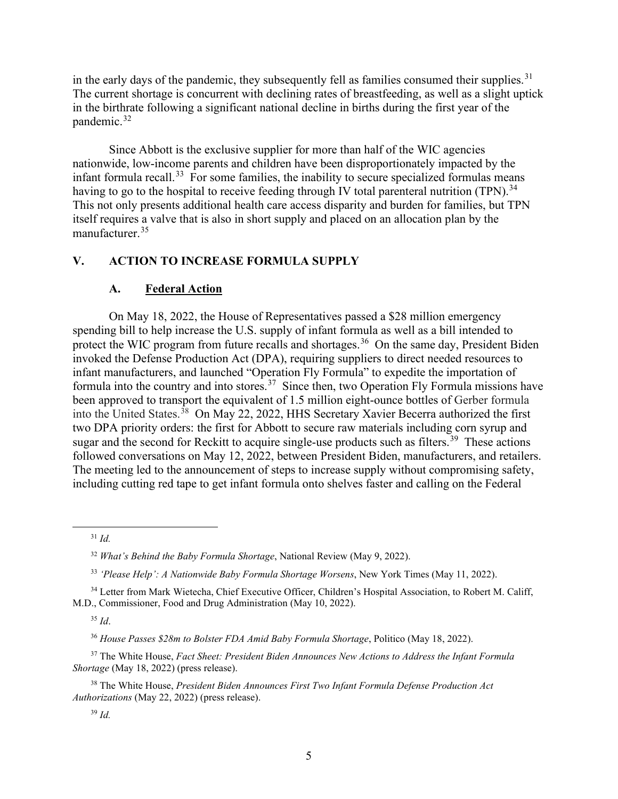in the early days of the pandemic, they subsequently fell as families consumed their supplies.<sup>[31](#page-4-0)</sup> The current shortage is concurrent with declining rates of breastfeeding, as well as a slight uptick in the birthrate following a significant national decline in births during the first year of the pandemic.<sup>[32](#page-4-1)</sup>

Since Abbott is the exclusive supplier for more than half of the WIC agencies nationwide, low-income parents and children have been disproportionately impacted by the infant formula recall.<sup>[33](#page-4-2)</sup> For some families, the inability to secure specialized formulas means having to go to the hospital to receive feeding through IV total parenteral nutrition (TPN).<sup>[34](#page-4-3)</sup> This not only presents additional health care access disparity and burden for families, but TPN itself requires a valve that is also in short supply and placed on an allocation plan by the manufacturer.[35](#page-4-4)

## **V. ACTION TO INCREASE FORMULA SUPPLY**

## **A. Federal Action**

On May 18, 2022, the House of Representatives passed a \$28 million emergency spending bill to help increase the U.S. supply of infant formula as well as a bill intended to protect the WIC program from future recalls and shortages.<sup>[36](#page-4-5)</sup> On the same day, President Biden invoked the Defense Production Act (DPA), requiring suppliers to direct needed resources to infant manufacturers, and launched "Operation Fly Formula" to expedite the importation of formula into the country and into stores.<sup>37</sup> Since then, two Operation Fly Formula missions have been approved to transport the equivalent of 1.5 million eight-ounce bottles of Gerber formula into the United States. [38](#page-4-7) On May 22, 2022, HHS Secretary Xavier Becerra authorized the first two DPA priority orders: the first for Abbott to secure raw materials including corn syrup and sugar and the second for Reckitt to acquire single-use products such as filters.<sup>[39](#page-4-8)</sup> These actions followed conversations on May 12, 2022, between President Biden, manufacturers, and retailers. The meeting led to the announcement of steps to increase supply without compromising safety, including cutting red tape to get infant formula onto shelves faster and calling on the Federal

<sup>35</sup> *Id*.

<sup>31</sup> *Id.*

<sup>32</sup> *What's Behind the Baby Formula Shortage*, National Review (May 9, 2022).

<sup>33</sup> *'Please Help': A Nationwide Baby Formula Shortage Worsens*, New York Times (May 11, 2022).

<span id="page-4-4"></span><span id="page-4-3"></span><span id="page-4-2"></span><span id="page-4-1"></span><span id="page-4-0"></span><sup>&</sup>lt;sup>34</sup> Letter from Mark Wietecha, Chief Executive Officer, Children's Hospital Association, to Robert M. Califf, M.D., Commissioner, Food and Drug Administration (May 10, 2022).

<sup>36</sup> *House Passes \$28m to Bolster FDA Amid Baby Formula Shortage*, Politico (May 18, 2022).

<span id="page-4-6"></span><span id="page-4-5"></span><sup>37</sup> The White House, *Fact Sheet: President Biden Announces New Actions to Address the Infant Formula Shortage* (May 18, 2022) (press release).

<span id="page-4-8"></span><span id="page-4-7"></span><sup>38</sup> The White House, *President Biden Announces First Two Infant Formula Defense Production Act Authorizations* (May 22, 2022) (press release).

<sup>39</sup> *Id.*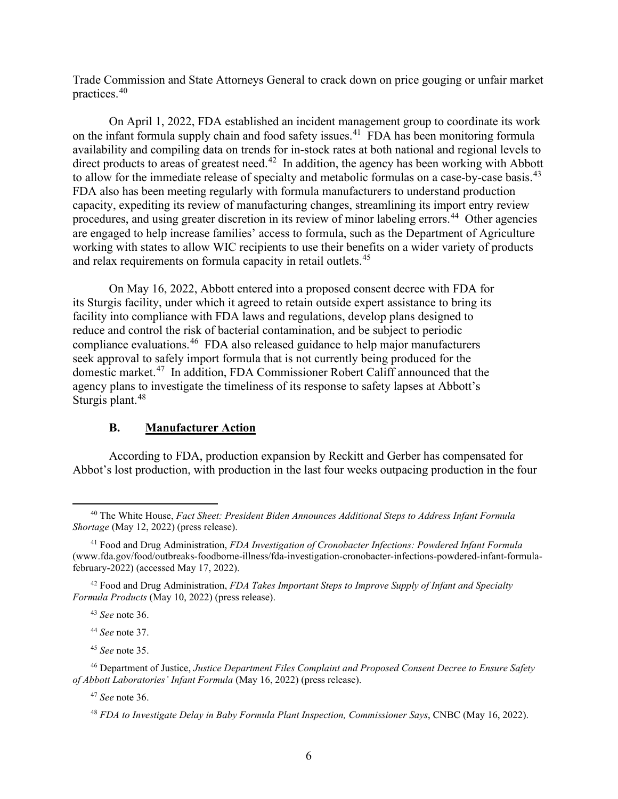Trade Commission and State Attorneys General to crack down on price gouging or unfair market practices.[40](#page-5-0)

On April 1, 2022, FDA established an incident management group to coordinate its work on the infant formula supply chain and food safety issues.<sup>[41](#page-5-1)</sup> FDA has been monitoring formula availability and compiling data on trends for in-stock rates at both national and regional levels to direct products to areas of greatest need.<sup>[42](#page-5-2)</sup> In addition, the agency has been working with Abbott to allow for the immediate release of specialty and metabolic formulas on a case-by-case basis.<sup>43</sup> FDA also has been meeting regularly with formula manufacturers to understand production capacity, expediting its review of manufacturing changes, streamlining its import entry review procedures, and using greater discretion in its review of minor labeling errors.<sup>[44](#page-5-4)</sup> Other agencies are engaged to help increase families' access to formula, such as the Department of Agriculture working with states to allow WIC recipients to use their benefits on a wider variety of products and relax requirements on formula capacity in retail outlets. [45](#page-5-5) 

On May 16, 2022, Abbott entered into a proposed consent decree with FDA for its Sturgis facility, under which it agreed to retain outside expert assistance to bring its facility into compliance with FDA laws and regulations, develop plans designed to reduce and control the risk of bacterial contamination, and be subject to periodic compliance evaluations. [46](#page-5-6) FDA also released guidance to help major manufacturers seek approval to safely import formula that is not currently being produced for the domestic market.[47](#page-5-7) In addition, FDA Commissioner Robert Califf announced that the agency plans to investigate the timeliness of its response to safety lapses at Abbott's Sturgis plant.<sup>[48](#page-5-8)</sup>

## **B. Manufacturer Action**

According to FDA, production expansion by Reckitt and Gerber has compensated for Abbot's lost production, with production in the last four weeks outpacing production in the four

<sup>43</sup> *See* note 36.

<sup>44</sup> *See* note 37.

<sup>45</sup> *See* note 35.

<sup>47</sup> *See* note 36.

<span id="page-5-0"></span><sup>40</sup> The White House, *Fact Sheet: President Biden Announces Additional Steps to Address Infant Formula Shortage* (May 12, 2022) (press release).

<span id="page-5-1"></span><sup>41</sup> Food and Drug Administration, *FDA Investigation of Cronobacter Infections: Powdered Infant Formula* (www.fda.gov/food/outbreaks-foodborne-illness/fda-investigation-cronobacter-infections-powdered-infant-formulafebruary-2022) (accessed May 17, 2022).

<span id="page-5-3"></span><span id="page-5-2"></span><sup>42</sup> Food and Drug Administration, *FDA Takes Important Steps to Improve Supply of Infant and Specialty Formula Products* (May 10, 2022) (press release).

<span id="page-5-8"></span><span id="page-5-7"></span><span id="page-5-6"></span><span id="page-5-5"></span><span id="page-5-4"></span><sup>46</sup> Department of Justice, *Justice Department Files Complaint and Proposed Consent Decree to Ensure Safety of Abbott Laboratories' Infant Formula* (May 16, 2022) (press release).

<sup>48</sup> *FDA to Investigate Delay in Baby Formula Plant Inspection, Commissioner Says*, CNBC (May 16, 2022).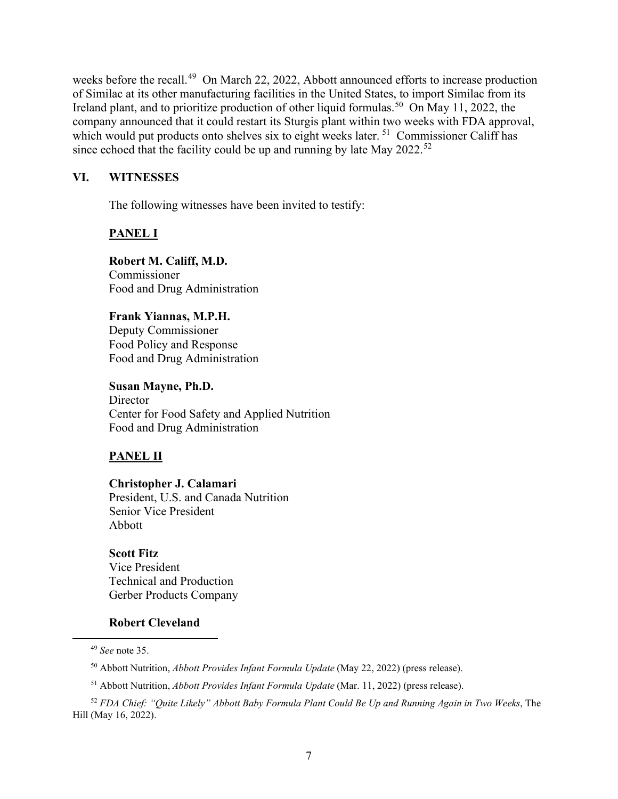weeks before the recall.<sup>49</sup> On March 22, 2022, Abbott announced efforts to increase production of Similac at its other manufacturing facilities in the United States, to import Similac from its Ireland plant, and to prioritize production of other liquid formulas.<sup>50</sup> On May 11, 2022, the company announced that it could restart its Sturgis plant within two weeks with FDA approval, which would put products onto shelves six to eight weeks later.<sup>[51](#page-6-2)</sup> Commissioner Califf has since echoed that the facility could be up and running by late May  $2022.^{52}$  $2022.^{52}$  $2022.^{52}$ 

#### **VI. WITNESSES**

The following witnesses have been invited to testify:

## **PANEL I**

**Robert M. Califf, M.D.** Commissioner Food and Drug Administration

#### **Frank Yiannas, M.P.H.**

Deputy Commissioner Food Policy and Response Food and Drug Administration

**Susan Mayne, Ph.D. Director** Center for Food Safety and Applied Nutrition Food and Drug Administration

#### **PANEL II**

**Christopher J. Calamari** President, U.S. and Canada Nutrition Senior Vice President Abbott

**Scott Fitz** Vice President Technical and Production Gerber Products Company

#### **Robert Cleveland**

<sup>51</sup> Abbott Nutrition, *Abbott Provides Infant Formula Update* (Mar. 11, 2022) (press release).

<sup>49</sup> *See* note 35.

<sup>50</sup> Abbott Nutrition, *Abbott Provides Infant Formula Update* (May 22, 2022) (press release).

<span id="page-6-3"></span><span id="page-6-2"></span><span id="page-6-1"></span><span id="page-6-0"></span><sup>52</sup> *FDA Chief: "Quite Likely" Abbott Baby Formula Plant Could Be Up and Running Again in Two Weeks*, The Hill (May 16, 2022).